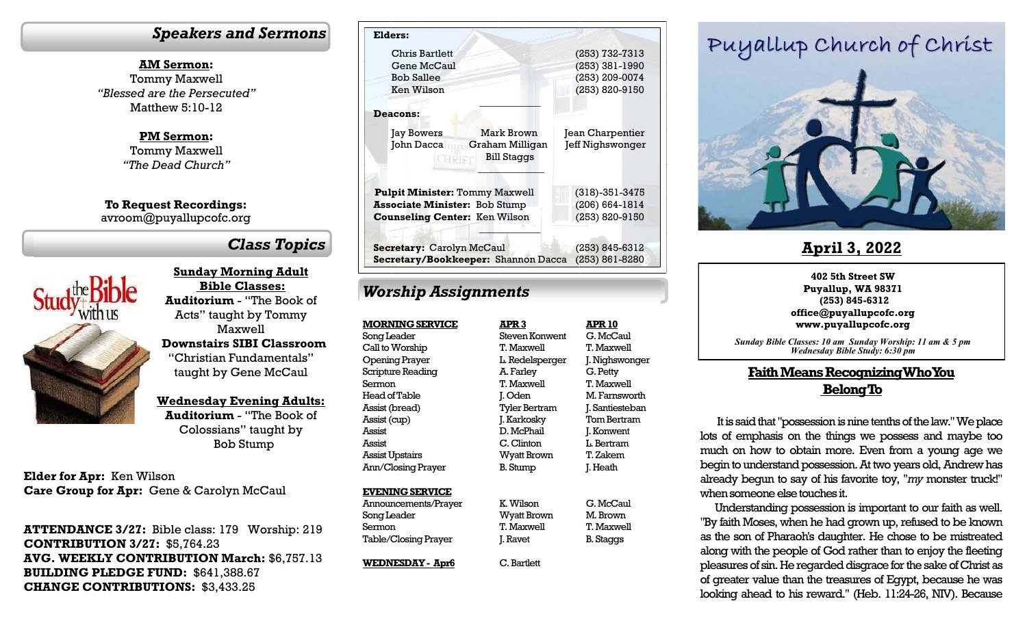### *Speakers and Sermons*

**AM Sermon:** Tommy Maxwell *"Blessed are the Persecuted"* Matthew 5:10-12

> **PM Sermon:** Tommy Maxwell *"The Dead Church"*

**To Request Recordings:** avroom@puyallupcofc.org

## *Class Topics*



**Sunday Morning Adult Bible Classes: Auditorium** - "The Book of Acts" taught by Tommy Maxwell **Downstairs SIBI Classroom**  "Christian Fundamentals" taught by Gene McCaul

**Wednesday Evening Adults:** 

**Auditorium** - "The Book of Colossians" taught by Bob Stump

**Elder for Apr:** Ken Wilson **Care Group for Apr:** Gene & Carolyn McCaul

**ATTENDANCE 3/27:** Bible class: 179 Worship: 219 **CONTRIBUTION 3/27:** \$5,764.23 **AVG. WEEKLY CONTRIBUTION March:** \$6,757.13 **BUILDING PLEDGE FUND:** \$641,388.67 **CHANGE CONTRIBUTIONS:** \$3,433.25

| Elders:                                                                           |                      |
|-----------------------------------------------------------------------------------|----------------------|
| <b>Chris Bartlett</b>                                                             | (253) 732-7313       |
| Gene McCaul                                                                       | $(253)$ 381-1990     |
| <b>Bob Sallee</b>                                                                 | (253) 209-0074       |
| Ken Wilson                                                                        | (253) 820-9150       |
|                                                                                   |                      |
| <b>Deacons:</b>                                                                   |                      |
| Mark Brown<br><b>Jay Bowers</b>                                                   | Jean Charpentier     |
| John Dacca <b>Milligan</b> Graham Milligan<br><b>Bill Staggs</b><br><b>CHRIST</b> | Jeff Nighswonger     |
| <b>Pulpit Minister: Tommy Maxwell</b>                                             | $(318) - 351 - 3475$ |
| <b>Associate Minister: Bob Stump</b>                                              | $(206) 664 - 1814$   |
| <b>Counseling Center: Ken Wilson</b>                                              | (253) 820-9150       |
|                                                                                   |                      |
| Secretary: Carolyn McCaul                                                         | (253) 845-6312       |
| Secretary/Bookkeeper: Shannon Dacca                                               | $(253) 861 - 8280$   |

## *Worship Assignments*

**MORNING SERVICE** Song Leader Call to Worship Opening Prayer Scripture Reading Sermon Head of Table Assist (bread) Assist (cup) Assist Assist Assist Upstairs Ann/Closing Prayer

### **EVENING SERVICE** Announcements/Prayer

Song Leader Sermon Table/Closing Prayer

**WEDNESDAY - Apr6**

**APR 3** Steven Konwent T. Maxwell L. Redelsperger A. Farley T. Maxwell J. Oden Tyler Bertram J. Karkosky D. McPhail C. Clinton Wyatt Brown B. Stump K. Wilson **APR 10** G. McCaul T. Maxwell G. Petty T. Maxwell Tom Bertram J. Konwent L. Bertram T. Zakem J. Heath

Wyatt Brown B. Staggs

### T. Maxwell J. Ravet

C. Bartlett

J. Nighswonger M. Farnsworth J. Santiesteban

### G. McCaul M. Brown T. Maxwell

# Puyallup Church of Christ



### **April 3, 2022**

### **402 5th Street SW Puyallup, WA 98371 (253) 845-6312 office@puyallupcofc.org www.puyallupcofc.org**

*Sunday Bible Classes: 10 am Sunday Worship: 11 am & 5 pm Wednesday Bible Study: 6:30 pm*

### **Faith Means Recognizing Who You Belong To**

It is said that "possession is nine tenths of the law." We place lots of emphasis on the things we possess and maybe too much on how to obtain more. Even from a young age we begin to understand possession. At two years old, Andrew has already begun to say of his favorite toy, "*my* monster truck!" when someone else touches it.

Understanding possession is important to our faith as well. "By faith Moses, when he had grown up, refused to be known as the son of Pharaoh's daughter. He chose to be mistreated along with the people of God rather than to enjoy the fleeting pleasures of sin. He regarded disgrace for the sake of Christ as of greater value than the treasures of Egypt, because he was looking ahead to his reward." (Heb. 11:24-26, NIV). Because